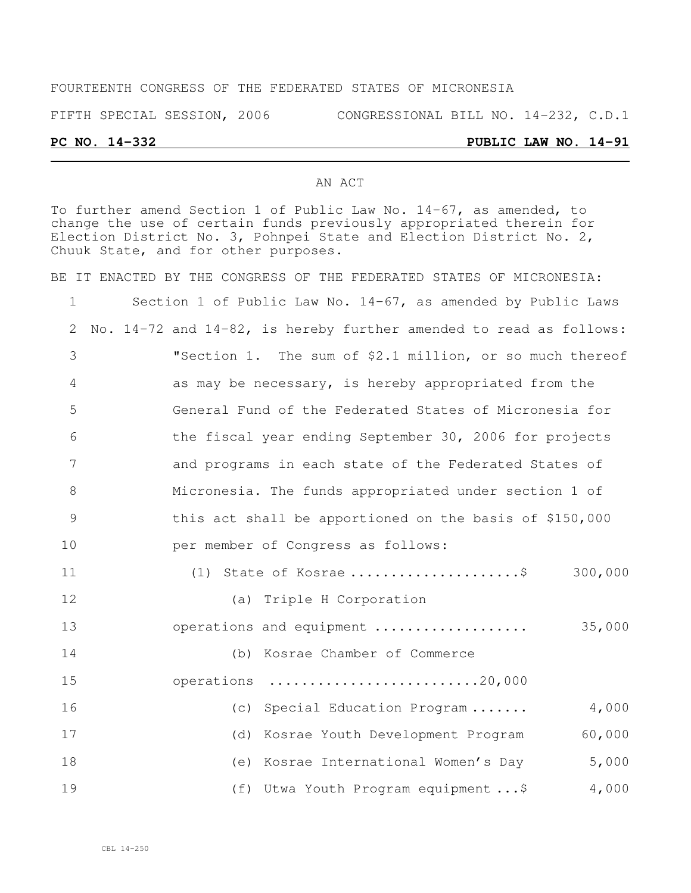#### FOURTEENTH CONGRESS OF THE FEDERATED STATES OF MICRONESIA

FIFTH SPECIAL SESSION, 2006 CONGRESSIONAL BILL NO. 14-232, C.D.1

#### **PC NO. 14-332 PUBLIC LAW NO. 14-91**

#### AN ACT

To further amend Section 1 of Public Law No. 14-67, as amended, to change the use of certain funds previously appropriated therein for Election District No. 3, Pohnpei State and Election District No. 2, Chuuk State, and for other purposes.

BE IT ENACTED BY THE CONGRESS OF THE FEDERATED STATES OF MICRONESIA: Section 1 of Public Law No. 14-67, as amended by Public Laws No. 14-72 and 14-82, is hereby further amended to read as follows: "Section 1. The sum of \$2.1 million, or so much thereof as may be necessary, is hereby appropriated from the General Fund of the Federated States of Micronesia for the fiscal year ending September 30, 2006 for projects and programs in each state of the Federated States of Micronesia. The funds appropriated under section 1 of this act shall be apportioned on the basis of \$150,000 per member of Congress as follows: (1) State of Kosrae .....................\$ 300,000 (a) Triple H Corporation operations and equipment ................... 35,000 (b) Kosrae Chamber of Commerce 15 operations ...............................20,000

| 16 | (c) Special Education Program        | 4,000  |
|----|--------------------------------------|--------|
| 17 | (d) Kosrae Youth Development Program | 60,000 |
| 18 | (e) Kosrae International Women's Day | 5,000  |
| 19 | (f) Utwa Youth Program equipment \$  | 4,000  |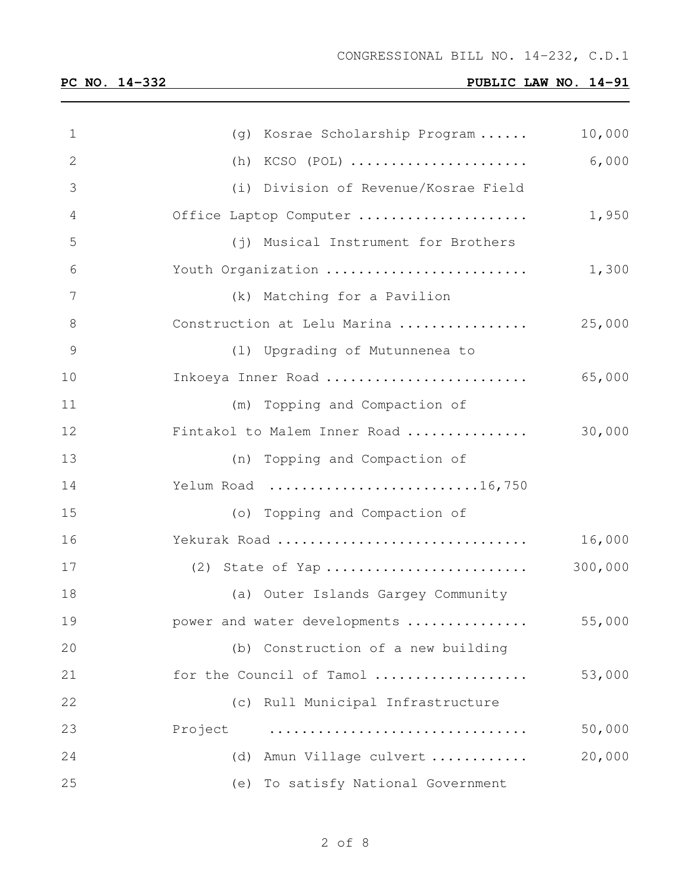| $\mathbf 1$   | (g) Kosrae Scholarship Program                                                     | 10,000  |
|---------------|------------------------------------------------------------------------------------|---------|
| 2             | (h) $KCSO$ (POL)                                                                   | 6,000   |
| 3             | (i) Division of Revenue/Kosrae Field                                               |         |
| 4             | Office Laptop Computer                                                             | 1,950   |
| 5             | (j) Musical Instrument for Brothers                                                |         |
| 6             | Youth Organization                                                                 | 1,300   |
| 7             | (k) Matching for a Pavilion                                                        |         |
| 8             | Construction at Lelu Marina                                                        | 25,000  |
| $\mathcal{G}$ | (1) Upgrading of Mutunnenea to                                                     |         |
| 10            | Inkoeya Inner Road                                                                 | 65,000  |
| 11            | (m) Topping and Compaction of                                                      |         |
| 12            | Fintakol to Malem Inner Road                                                       | 30,000  |
| 13            | (n) Topping and Compaction of                                                      |         |
| 14            | Yelum Road $\ldots \ldots \ldots \ldots \ldots \ldots \ldots \ldots \ldots 16,750$ |         |
| 15            | (o) Topping and Compaction of                                                      |         |
| 16            | Yekurak Road                                                                       | 16,000  |
| 17            | (2) State of Yap                                                                   | 300,000 |
| 18            | (a) Outer Islands Gargey Community                                                 |         |
| 19            | power and water developments                                                       | 55,000  |
| 20            | (b) Construction of a new building                                                 |         |
| 21            | for the Council of Tamol                                                           | 53,000  |
| 22            | (c) Rull Municipal Infrastructure                                                  |         |
| 23            | Project                                                                            | 50,000  |
| 24            | Amun Village culvert<br>(d)                                                        | 20,000  |
| 25            | (e) To satisfy National Government                                                 |         |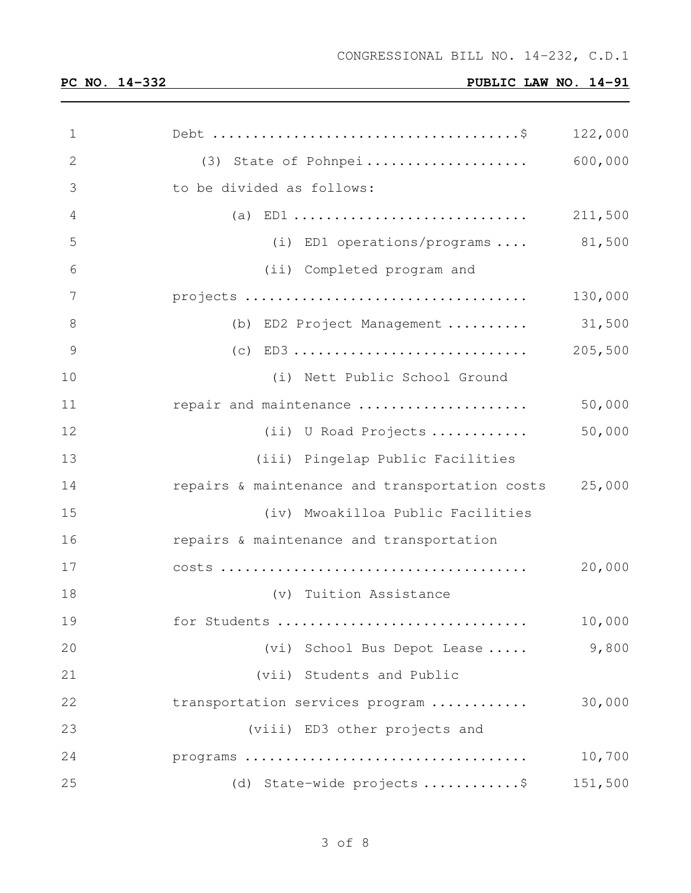| 1            |                                                | 122,000 |
|--------------|------------------------------------------------|---------|
| $\mathbf{2}$ | (3) State of Pohnpei                           | 600,000 |
| 3            | to be divided as follows:                      |         |
| 4            |                                                | 211,500 |
| 5            | (i) ED1 operations/programs  81,500            |         |
| 6            | (ii) Completed program and                     |         |
| 7            |                                                | 130,000 |
| 8            | (b) ED2 Project Management                     | 31,500  |
| 9            |                                                | 205,500 |
| 10           | (i) Nett Public School Ground                  |         |
| 11           | repair and maintenance                         | 50,000  |
| 12           | (ii) U Road Projects                           | 50,000  |
| 13           | (iii) Pingelap Public Facilities               |         |
| 14           | repairs & maintenance and transportation costs | 25,000  |
| 15           | (iv) Mwoakilloa Public Facilities              |         |
| 16           | repairs & maintenance and transportation       |         |
| 17           |                                                | 20,000  |
| 18           | (v) Tuition Assistance                         |         |
| 19           | for Students                                   | 10,000  |
| 20           | (vi) School Bus Depot Lease                    | 9,800   |
| 21           | (vii) Students and Public                      |         |
| 22           | transportation services program                | 30,000  |
| 23           | (viii) ED3 other projects and                  |         |
| 24           |                                                | 10,700  |
| 25           | (d) State-wide projects \$                     | 151,500 |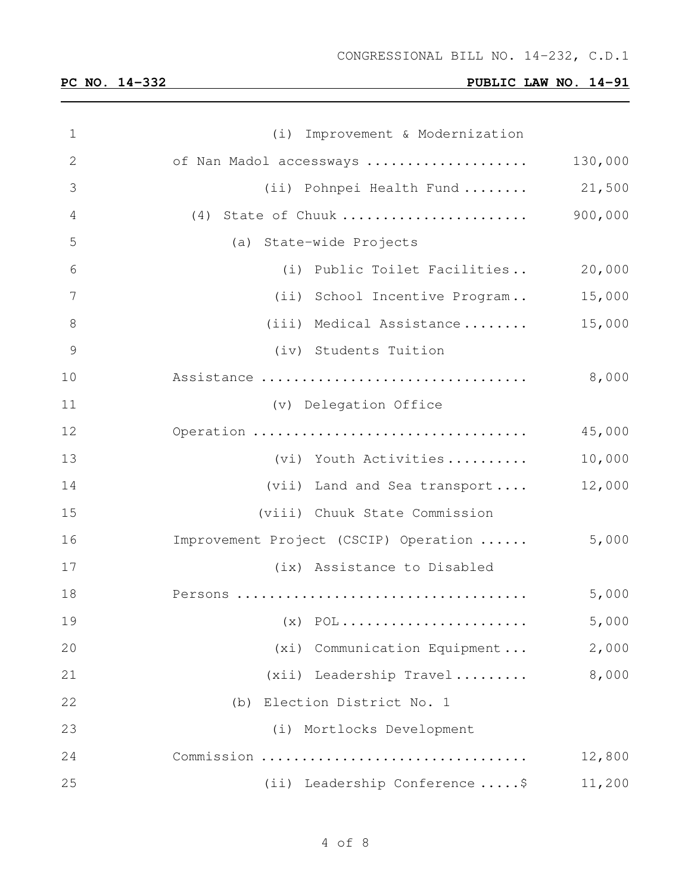| $\mathbf 1$  | (i) Improvement & Modernization       |         |
|--------------|---------------------------------------|---------|
| $\mathbf{2}$ | of Nan Madol accessways               | 130,000 |
| 3            | (ii) Pohnpei Health Fund  21,500      |         |
| 4            | (4) State of Chuuk                    | 900,000 |
| 5            | (a) State-wide Projects               |         |
| 6            | (i) Public Toilet Facilities          | 20,000  |
| 7            | (ii) School Incentive Program         | 15,000  |
| 8            | (iii) Medical Assistance              | 15,000  |
| 9            | (iv) Students Tuition                 |         |
| 10           | Assistance                            | 8,000   |
| 11           | (v) Delegation Office                 |         |
| 12           | Operation                             | 45,000  |
| 13           | (vi) Youth Activities                 | 10,000  |
| 14           | (vii) Land and Sea transport          | 12,000  |
| 15           | (viii) Chuuk State Commission         |         |
| 16           | Improvement Project (CSCIP) Operation | 5,000   |
| 17           | (ix) Assistance to Disabled           |         |
| 18           |                                       | 5,000   |
| 19           |                                       | 5,000   |
| 20           | Communication Equipment<br>(xi)       | 2,000   |
| 21           | Leadership Travel<br>(xii)            | 8,000   |
| 22           | Election District No. 1<br>(b)        |         |
| 23           | (i) Mortlocks Development             |         |
| 24           | Commission                            | 12,800  |
| 25           | (ii) Leadership Conference \$         | 11,200  |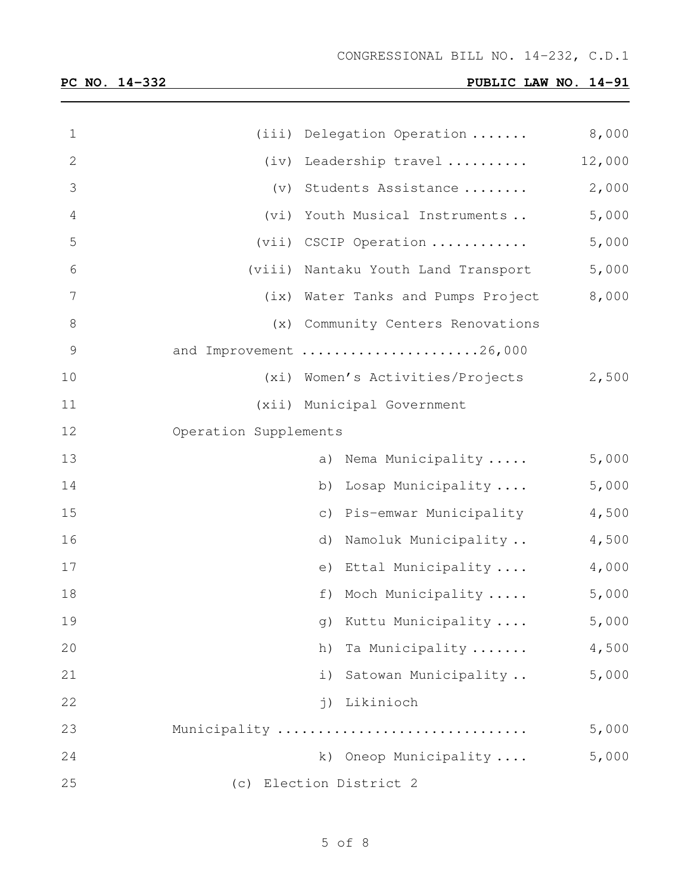| $\mathbf 1$    | (iii) Delegation Operation          | 8,000  |
|----------------|-------------------------------------|--------|
| $\mathbf{2}$   | (iv) Leadership travel              | 12,000 |
| 3              | Students Assistance<br>(v)          | 2,000  |
| $\overline{4}$ | (vi) Youth Musical Instruments      | 5,000  |
| 5              | (vii) CSCIP Operation               | 5,000  |
| 6              | (viii) Nantaku Youth Land Transport | 5,000  |
| 7              | (ix) Water Tanks and Pumps Project  | 8,000  |
| $\,8\,$        | (x) Community Centers Renovations   |        |
| $\mathcal{G}$  | and Improvement 26,000              |        |
| 10             | (xi) Women's Activities/Projects    | 2,500  |
| 11             | (xii) Municipal Government          |        |
| 12             | Operation Supplements               |        |
| 13             | Nema Municipality<br>a)             | 5,000  |
| 14             | b) Losap Municipality               | 5,000  |
| 15             | c) Pis-emwar Municipality           | 4,500  |
| 16             | Namoluk Municipality<br>d)          | 4,500  |
| 17             | e) Ettal Municipality               | 4,000  |
| 18             | Moch Municipality<br>f)             | 5,000  |
| 19             | g) Kuttu Municipality               | 5,000  |
| 20             | h)<br>Ta Municipality               | 4,500  |
| 21             | Satowan Municipality<br>$\perp$ )   | 5,000  |
| 22             | Likinioch<br>$\dot{1}$ )            |        |
| 23             | Municipality                        | 5,000  |
| 24             | Oneop Municipality<br>k)            | 5,000  |
| 25             | (c) Election District 2             |        |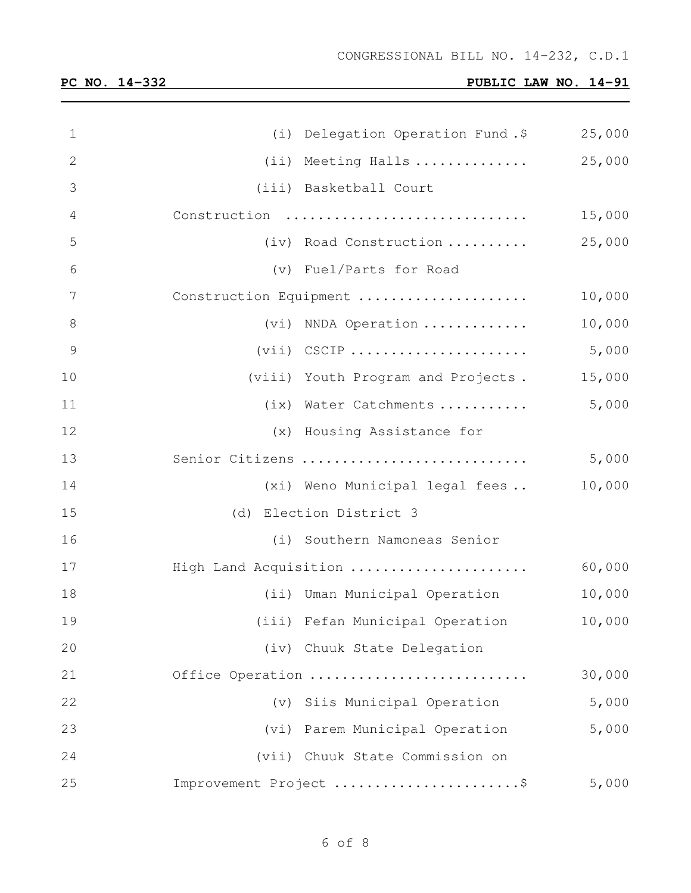| $\mathbf 1$    | (i) Delegation Operation Fund.\$   | 25,000 |
|----------------|------------------------------------|--------|
| $\mathbf{2}$   | (ii) Meeting Halls                 | 25,000 |
| 3              | (iii) Basketball Court             |        |
| 4              | Construction                       | 15,000 |
| 5              | (iv) Road Construction             | 25,000 |
| 6              | (v) Fuel/Parts for Road            |        |
| $\overline{7}$ | Construction Equipment             | 10,000 |
| 8              | (vi) NNDA Operation                | 10,000 |
| $\mathcal{G}$  |                                    | 5,000  |
| 10             | (viii) Youth Program and Projects. | 15,000 |
| 11             | (ix) Water Catchments              | 5,000  |
| 12             | (x) Housing Assistance for         |        |
| 13             | Senior Citizens                    | 5,000  |
| 14             | (xi) Weno Municipal legal fees     | 10,000 |
| 15             | (d) Election District 3            |        |
| 16             | (i) Southern Namoneas Senior       |        |
| 17             | High Land Acquisition              | 60,000 |
| 18             | (ii) Uman Municipal Operation      | 10,000 |
| 19             | (iii) Fefan Municipal Operation    | 10,000 |
| 20             | (iv) Chuuk State Delegation        |        |
| 21             | Office Operation                   | 30,000 |
| 22             | (v) Siis Municipal Operation       | 5,000  |
| 23             | (vi) Parem Municipal Operation     | 5,000  |
| 24             | (vii) Chuuk State Commission on    |        |
| 25             | Improvement Project \$             | 5,000  |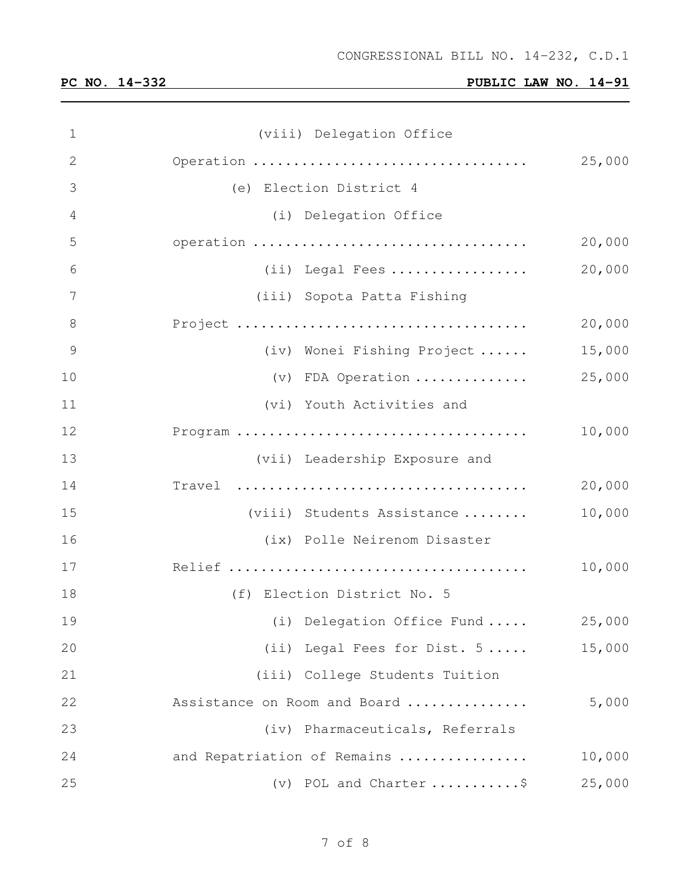| $\mathbf 1$   | (viii) Delegation Office        |        |
|---------------|---------------------------------|--------|
| 2             | Operation                       | 25,000 |
| 3             | (e) Election District 4         |        |
| 4             | (i) Delegation Office           |        |
| 5             | operation                       | 20,000 |
| 6             | (ii) Legal Fees                 | 20,000 |
| 7             | (iii) Sopota Patta Fishing      |        |
| $\,8\,$       |                                 | 20,000 |
| $\mathcal{G}$ | (iv) Wonei Fishing Project      | 15,000 |
| 10            | (v) FDA Operation               | 25,000 |
| 11            | (vi) Youth Activities and       |        |
| 12            |                                 | 10,000 |
| 13            | (vii) Leadership Exposure and   |        |
| 14            |                                 | 20,000 |
| 15            | (viii) Students Assistance      | 10,000 |
| 16            | (ix) Polle Neirenom Disaster    |        |
| 17            |                                 | 10,000 |
| 18            | (f) Election District No. 5     |        |
| 19            | (i) Delegation Office Fund      | 25,000 |
| 20            | (ii) Legal Fees for Dist. 5     | 15,000 |
| 21            | (iii) College Students Tuition  |        |
| 22            | Assistance on Room and Board    | 5,000  |
| 23            | (iv) Pharmaceuticals, Referrals |        |
| 24            | and Repatriation of Remains     | 10,000 |
| 25            | (v) POL and Charter \$          | 25,000 |